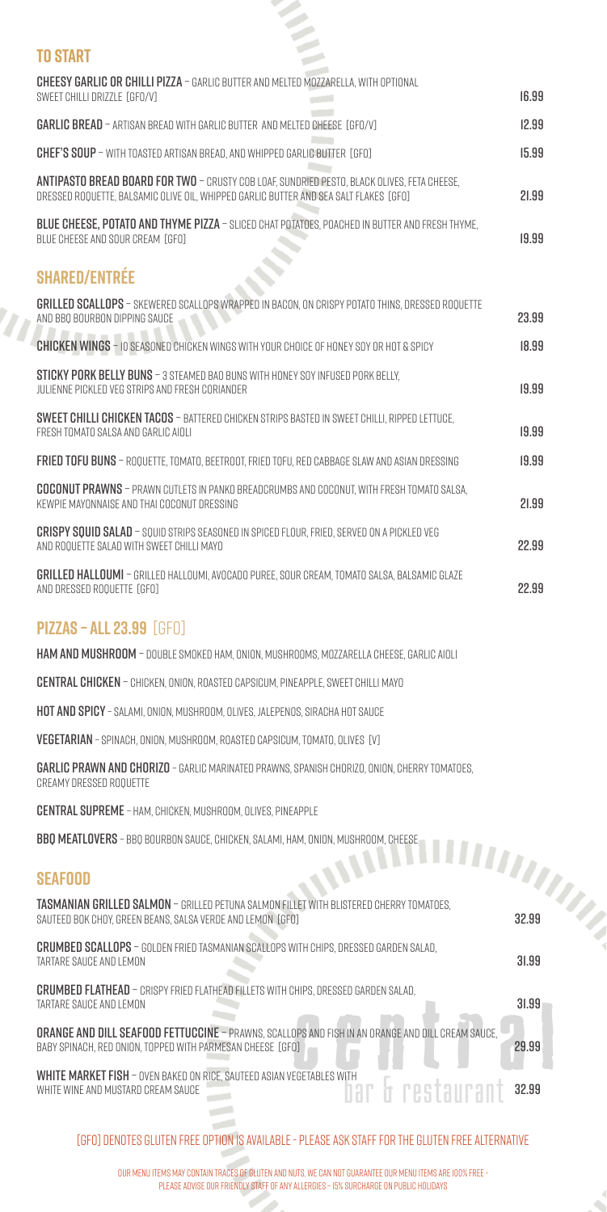[gfo] denotes gluten free option is available - please ask staff for the gluten free alternative

| <b>TO START</b>                                                                                                                                                                             |               |  |
|---------------------------------------------------------------------------------------------------------------------------------------------------------------------------------------------|---------------|--|
| <b>CHEESY GARLIC OR CHILLI PIZZA - GARLIC BUTTER AND MELTED MOZZARELLA, WITH OPTIONAL</b><br>SWEET CHILLI DRIZZLE [GFO/V]                                                                   | 16.99         |  |
| <b>GARLIC BREAD</b> - ARTISAN BREAD WITH GARLIC BUTTER AND MELTED CHEESE [GFO/V]                                                                                                            | 12.99         |  |
| CHEF'S SOUP - WITH TOASTED ARTISAN BREAD, AND WHIPPED GARLIC BUTTER [GFO]                                                                                                                   | 15.99         |  |
| <b>ANTIPASTO BREAD BOARD FOR TWO - CRUSTY COB LOAF, SUNDRIED PESTO, BLACK OLIVES, FETA CHEESE,</b><br>DRESSED ROQUETTE, BALSAMIC OLIVE OIL, WHIPPED GARLIC BUTTER AND SEA SALT FLAKES [GFO] | 21.99         |  |
| BLUE CHEESE, POTATO AND THYME PIZZA - SLICED CHAT POTATOES, POACHED IN BUTTER AND FRESH THYME,<br>BLUE CHEESE AND SOUR CREAM [GFO]                                                          | 19.99         |  |
| <b>SHARED/ENTRÉE</b>                                                                                                                                                                        |               |  |
| <b>GRILLED SCALLOPS</b> - SKEWERED SCALLOPS WRAPPED IN BACON, ON CRISPY POTATO THINS, DRESSED ROQUETTE<br>AND BBO BOURBON DIPPING SAUCE                                                     | 23.99         |  |
| <b>CHICKEN WINGS</b> - IO SEASONED CHICKEN WINGS WITH YOUR CHOICE OF HONEY SOY OR HOT & SPICY                                                                                               | 18.99         |  |
| <b>STICKY PORK BELLY BUNS</b> - 3 STEAMED BAO BUNS WITH HONEY SOY INFUSED PORK BELLY,<br>JULIENNE PICKLED VEG STRIPS AND FRESH CORIANDER                                                    | 19.99         |  |
| <b>SWEET CHILLI CHICKEN TACOS</b> - BATTERED CHICKEN STRIPS BASTED IN SWEET CHILLI, RIPPED LETTUCE,<br>FRESH TOMATO SALSA AND GARLIC AIOLI                                                  | 19.99         |  |
| FRIED TOFU BUNS - ROQUETTE, TOMATO, BEETROOT, FRIED TOFU, RED CABBAGE SLAW AND ASIAN DRESSING                                                                                               | 19.99         |  |
| <b>COCONUT PRAWNS</b> - PRAWN CUTLETS IN PANKO BREADCRUMBS AND COCONUT, WITH FRESH TOMATO SALSA,<br>KEWPIE MAYONNAISE AND THAI COCONUT DRESSING                                             | 21.99         |  |
| <b>CRISPY SQUID SALAD</b> - SQUID STRIPS SEASONED IN SPICED FLOUR, FRIED, SERVED ON A PICKLED VEG<br>AND ROQUETTE SALAD WITH SWEET CHILLI MAYO                                              | 22.99         |  |
| <b>GRILLED HALLOUMI</b> - GRILLED HALLOUMI, AVOCADO PUREE, SOUR CREAM, TOMATO SALSA, BALSAMIC GLAZE<br>AND DRESSED ROQUETTE [GFO]                                                           | 22.99         |  |
| <b>PIZZAS – ALL 23.99 [GFO]</b>                                                                                                                                                             |               |  |
| <b>HAM AND MUSHROOM</b> - DOUBLE SMOKED HAM, ONION, MUSHROOMS, MOZZARELLA CHEESE, GARLIC AIOLI                                                                                              |               |  |
| CENTRAL CHICKEN - CHICKEN, ONION, ROASTED CAPSICUM, PINEAPPLE, SWEET CHILLI MAYO                                                                                                            |               |  |
| <b>HOT AND SPICY</b> - SALAMI, ONION, MUSHROOM, OLIVES, JALEPENOS, SIRACHA HOT SAUCE                                                                                                        |               |  |
| <b>VEGETARIAN</b> - SPINACH, ONION, MUSHROOM, ROASTED CAPSICUM, TOMATO, OLIVES [V]                                                                                                          |               |  |
| <b>GARLIC PRAWN AND CHORIZO</b> - GARLIC MARINATED PRAWNS, SPANISH CHORIZO, ONION, CHERRY TOMATOES,<br>CREAMY DRESSED ROQUETTE                                                              |               |  |
| <b>CENTRAL SUPREME</b> - HAM, CHICKEN, MUSHROOM, OLIVES, PINEAPPLE                                                                                                                          |               |  |
| BBO MEATLOVERS - BBO BOURBON SAUCE, CHICKEN, SALAMI, HAM, ONION, MUSHROOM, CHEESE                                                                                                           |               |  |
| <b>CONTRACT AND STREETS</b><br><b>SEAFOOD</b>                                                                                                                                               | <b>AMARIA</b> |  |
| TASMANIAN GRILLED SALMON - GRILLED PETUNA SALMON FILLET WITH BLISTERED CHERRY TOMATOES,<br>SAUTEED BOK CHOY, GREEN BEANS, SALSA VERDE AND LEMON [GFO]                                       | 32.99         |  |

C)

# Crumbed scallops – golden fried tasmanian scallops with chips, dressed garden salad, tartare sauce and lemon 31.99

#### Crumbed flathead – crispy fried flathead fillets with chips, dressed garden salad, tartare sauce and lemon 31.99

orange and dill seafood fettuccine – prawns, scallops and FISH IN aN ORANGE AND DILL cream sauce, BABY SPINACH, RED ONION, TOPPED WITH PARMESAN CHEESE [GFO] 29.99

WHITE MARKET FISH – OVEN BAKED ON RICE, SAUTEED ASIAN VEGETABLES WITH WHITE WINE AND MUSTARD CREAM SAUCE WHITE WINE AND MUSTARD CREAM SAUCE

> التواريخ  $\sim$

#### **Seafood**

our menu items may contain traces of gluten and nuts, we can not guarantee our menu items are 100% free please advise our friendly staff of any allergies – 15% surcharge on public holidays